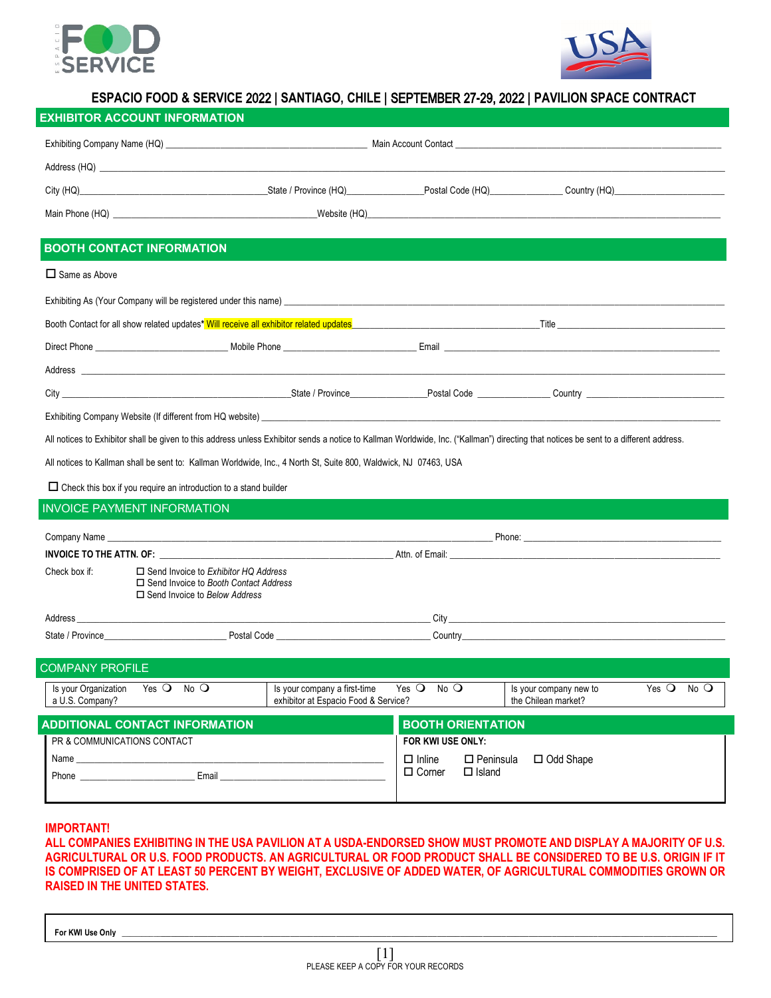



# **ESPACIO FOOD & SERVICE** 2022 **| SANTIAGO, CHILE |** SEPTEMBER 27**-**29, 2022 **| PAVILION SPACE CONTRACT**

| <b>BOOTH CONTACT INFORMATION</b>                                                                                                                                                                                                                                                                                                                                                       |                                                                      |                                                       |                                               |                                   |  |  |  |  |
|----------------------------------------------------------------------------------------------------------------------------------------------------------------------------------------------------------------------------------------------------------------------------------------------------------------------------------------------------------------------------------------|----------------------------------------------------------------------|-------------------------------------------------------|-----------------------------------------------|-----------------------------------|--|--|--|--|
| $\Box$ Same as Above                                                                                                                                                                                                                                                                                                                                                                   |                                                                      |                                                       |                                               |                                   |  |  |  |  |
| Exhibiting As (Your Company will be registered under this name) [19] Decision and the content of the content of the content of the content of the content of the content of the content of the content of the content of the c                                                                                                                                                         |                                                                      |                                                       |                                               |                                   |  |  |  |  |
| Booth Contact for all show related updates* Will receive all exhibitor related updates <b>Example 2006</b> Contact for all show related updates <b>Fixed Section 2006</b>                                                                                                                                                                                                              |                                                                      |                                                       |                                               |                                   |  |  |  |  |
|                                                                                                                                                                                                                                                                                                                                                                                        |                                                                      |                                                       |                                               |                                   |  |  |  |  |
|                                                                                                                                                                                                                                                                                                                                                                                        |                                                                      |                                                       |                                               |                                   |  |  |  |  |
|                                                                                                                                                                                                                                                                                                                                                                                        |                                                                      |                                                       |                                               |                                   |  |  |  |  |
| Exhibiting Company Website (If different from HQ website) example and the state of the state of the state of the state of the state of the state of the state of the state of the state of the state of the state of the state                                                                                                                                                         |                                                                      |                                                       |                                               |                                   |  |  |  |  |
| All notices to Exhibitor shall be given to this address unless Exhibitor sends a notice to Kallman Worldwide, Inc. ("Kallman") directing that notices be sent to a different address.                                                                                                                                                                                                  |                                                                      |                                                       |                                               |                                   |  |  |  |  |
| All notices to Kallman shall be sent to: Kallman Worldwide, Inc., 4 North St, Suite 800, Waldwick, NJ 07463, USA                                                                                                                                                                                                                                                                       |                                                                      |                                                       |                                               |                                   |  |  |  |  |
| $\Box$ Check this box if you require an introduction to a stand builder                                                                                                                                                                                                                                                                                                                |                                                                      |                                                       |                                               |                                   |  |  |  |  |
| <b>INVOICE PAYMENT INFORMATION</b>                                                                                                                                                                                                                                                                                                                                                     |                                                                      |                                                       |                                               |                                   |  |  |  |  |
|                                                                                                                                                                                                                                                                                                                                                                                        |                                                                      |                                                       |                                               |                                   |  |  |  |  |
|                                                                                                                                                                                                                                                                                                                                                                                        |                                                                      |                                                       |                                               |                                   |  |  |  |  |
|                                                                                                                                                                                                                                                                                                                                                                                        |                                                                      |                                                       |                                               |                                   |  |  |  |  |
| <b>INVOICE TO THE ATTN. OF:</b> Note and the second term and the second term and the second term and the second term and term and term and term and term and term and term and term and term and term and term and term and term an<br>Check box if:<br>$\Box$ Send Invoice to Exhibitor HQ Address<br>□ Send Invoice to Booth Contact Address<br>$\Box$ Send Invoice to Below Address |                                                                      |                                                       |                                               |                                   |  |  |  |  |
|                                                                                                                                                                                                                                                                                                                                                                                        |                                                                      |                                                       |                                               |                                   |  |  |  |  |
|                                                                                                                                                                                                                                                                                                                                                                                        |                                                                      |                                                       |                                               |                                   |  |  |  |  |
| <b>COMPANY PROFILE</b>                                                                                                                                                                                                                                                                                                                                                                 |                                                                      |                                                       |                                               |                                   |  |  |  |  |
| Is your Organization<br>Yes $\bigcirc$<br>$No$ $O$<br>a U.S. Company?                                                                                                                                                                                                                                                                                                                  | Is your company a first-time<br>exhibitor at Espacio Food & Service? | Yes $Q$ No $Q$                                        | Is your company new to<br>the Chilean market? | Yes $\bigcirc$<br>$No$ $\bigcirc$ |  |  |  |  |
| <b>ADDITIONAL CONTACT INFORMATION</b>                                                                                                                                                                                                                                                                                                                                                  |                                                                      | <b>BOOTH ORIENTATION</b>                              |                                               |                                   |  |  |  |  |
| PR & COMMUNICATIONS CONTACT                                                                                                                                                                                                                                                                                                                                                            |                                                                      | FOR KWI USE ONLY:                                     |                                               |                                   |  |  |  |  |
| Name and the contract of the contract of the contract of the contract of the contract of the contract of the contract of the contract of the contract of the contract of the contract of the contract of the contract of the c                                                                                                                                                         |                                                                      | $\Box$ Inline<br>$\square$ Peninsula<br>$\Box$ Island | □ Odd Shape                                   |                                   |  |  |  |  |
|                                                                                                                                                                                                                                                                                                                                                                                        |                                                                      | $\Box$ Corner                                         |                                               |                                   |  |  |  |  |

### **IMPORTANT!**

**ALL COMPANIES EXHIBITING IN THE USA PAVILION AT A USDA-ENDORSED SHOW MUST PROMOTE AND DISPLAY A MAJORITY OF U.S. AGRICULTURAL OR U.S. FOOD PRODUCTS. AN AGRICULTURAL OR FOOD PRODUCT SHALL BE CONSIDERED TO BE U.S. ORIGIN IF IT IS COMPRISED OF AT LEAST 50 PERCENT BY WEIGHT, EXCLUSIVE OF ADDED WATER, OF AGRICULTURAL COMMODITIES GROWN OR RAISED IN THE UNITED STATES.**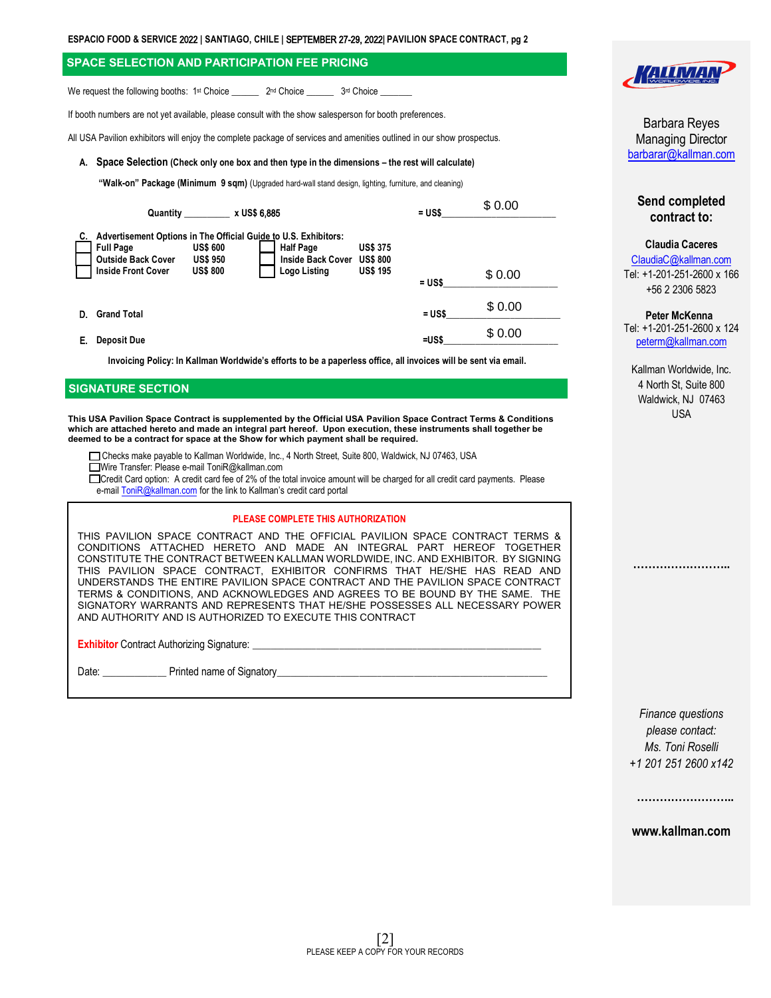### **SPACE SELECTION AND PARTICIPATION FEE PRICING**

We request the following booths: 1<sup>st</sup> Choice \_\_\_\_\_\_\_ 2<sup>nd</sup> Choice \_\_\_\_\_\_\_ 3<sup>rd</sup> Choice \_

If booth numbers are not yet available, please consult with the show salesperson for booth preferences.

All USA Pavilion exhibitors will enjoy the complete package of services and amenities outlined in our show prospectus.

#### **A. Space Selection (Check only one box and then type in the dimensions – the rest will calculate)**

**"Walk-on" Package (Minimum 9 sqm)** (Upgraded hard-wall stand design, lighting, furniture, and cleaning)

|    | Quantity                                                                   |                                                       | x US\$ 6,885                                                                                                                    |                                                       | $= USS$ | \$0.00 |  |
|----|----------------------------------------------------------------------------|-------------------------------------------------------|---------------------------------------------------------------------------------------------------------------------------------|-------------------------------------------------------|---------|--------|--|
| C. | <b>Full Page</b><br><b>Outside Back Cover</b><br><b>Inside Front Cover</b> | <b>US\$ 600</b><br><b>US\$ 950</b><br><b>US\$ 800</b> | Advertisement Options in The Official Guide to U.S. Exhibitors:<br><b>Half Page</b><br><b>Inside Back Cover</b><br>Logo Listing | <b>US\$ 375</b><br><b>US\$ 800</b><br><b>US\$ 195</b> | = US\$  | \$0.00 |  |
| D. | <b>Grand Total</b>                                                         |                                                       |                                                                                                                                 |                                                       | = US\$  | \$0.00 |  |
|    | Deposit Due                                                                |                                                       |                                                                                                                                 |                                                       | =US\$   | \$0.00 |  |

**Invoicing Policy: In Kallman Worldwide's efforts to be a paperless office, all invoices will be sent via email.**

### **SIGNATURE SECTION**

**This USA Pavilion Space Contract is supplemented by the Official USA Pavilion Space Contract Terms & Conditions which are attached hereto and made an integral part hereof. Upon execution, these instruments shall together be deemed to be a contract for space at the Show for which payment shall be required.**

Checks make payable to Kallman Worldwide, Inc., 4 North Street, Suite 800, Waldwick, NJ 07463, USA

■Wire Transfer: Please e-mail ToniR@kallman.com

Credit Card option: A credit card fee of 2% of the total invoice amount will be charged for all credit card payments. Please e-mail **ToniR[@kallman.com](mailto:tonir@kallman.com)** for the link to Kallman's credit card portal

### **PLEASE COMPLETE THIS AUTHORIZATION**

THIS PAVILION SPACE CONTRACT AND THE OFFICIAL PAVILION SPACE CONTRACT TERMS & CONDITIONS ATTACHED HERETO AND MADE AN INTEGRAL PART HEREOF TOGETHER CONSTITUTE THE CONTRACT BETWEEN KALLMAN WORLDWIDE, INC. AND EXHIBITOR. BY SIGNING THIS PAVILION SPACE CONTRACT, EXHIBITOR CONFIRMS THAT HE/SHE HAS READ AND UNDERSTANDS THE ENTIRE PAVILION SPACE CONTRACT AND THE PAVILION SPACE CONTRACT TERMS & CONDITIONS, AND ACKNOWLEDGES AND AGREES TO BE BOUND BY THE SAME. THE SIGNATORY WARRANTS AND REPRESENTS THAT HE/SHE POSSESSES ALL NECESSARY POWER AND AUTHORITY AND IS AUTHORIZED TO EXECUTE THIS CONTRACT

**Exhibitor** Contract Authorizing Signature:

Date: \_\_\_\_\_\_\_\_\_\_\_\_\_\_ Printed name of Signatory\_\_\_\_\_\_\_\_\_\_\_\_\_\_\_\_\_\_\_\_\_\_\_\_\_\_\_\_\_\_\_\_\_\_\_\_\_\_\_\_\_\_\_\_\_\_\_\_\_\_\_\_\_\_\_\_\_\_\_



Barbara Reyes Managing Director [barbarar@kallman.com](mailto:barbarar@kallman.com)

## **Send completed contract to:**

#### **Claudia Caceres**

[ClaudiaC@kallman.com](mailto:ClaudiaC@kallman.com) Tel: +1-201-251-2600 x 166 +56 2 2306 5823

#### **Peter McKenna**

Tel: +1-201-251-2600 x 124 [peterm@kallman.com](mailto:peterm@kallman.com)

Kallman Worldwide, Inc. 4 North St, Suite 800 Waldwick, NJ 07463 USA

**……………………..**

*Finance questions please contact: Ms. Toni Roselli +1 201 251 2600 x142*

**www.kallman.com**

**……………………..**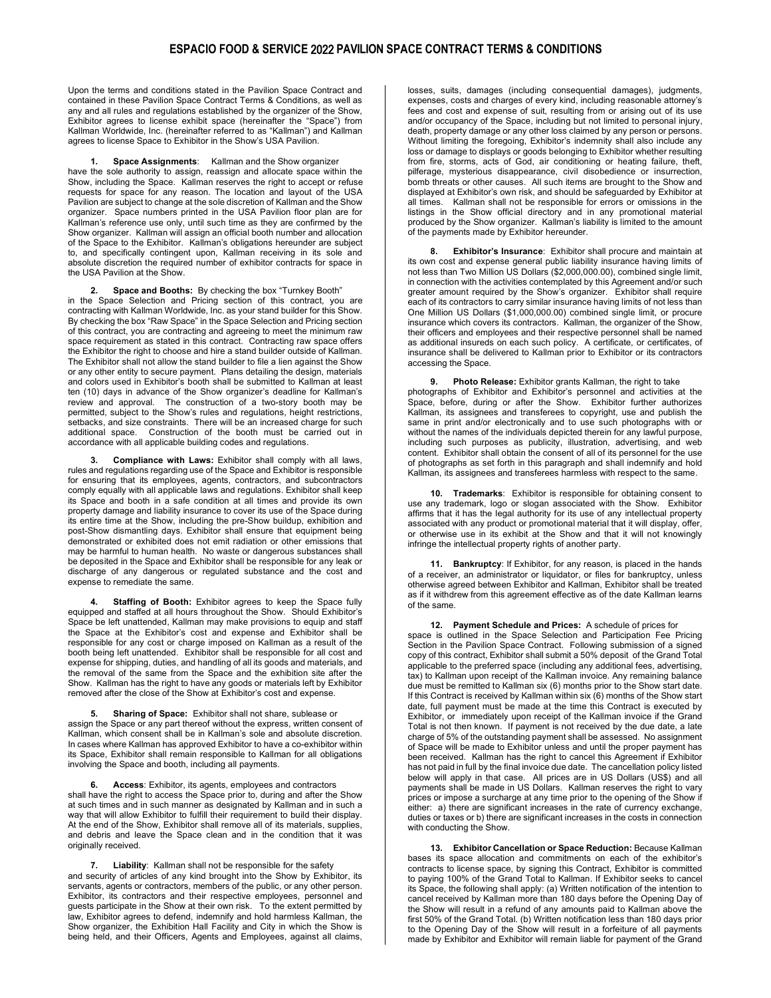### **ESPACIO FOOD & SERVICE** 2022 **PAVILION SPACE CONTRACT TERMS & CONDITIONS**

Upon the terms and conditions stated in the Pavilion Space Contract and contained in these Pavilion Space Contract Terms & Conditions, as well as any and all rules and regulations established by the organizer of the Show, Exhibitor agrees to license exhibit space (hereinafter the "Space") from Kallman Worldwide, Inc. (hereinafter referred to as "Kallman") and Kallman agrees to license Space to Exhibitor in the Show's USA Pavilion.

**1. Space Assignments**: Kallman and the Show organizer have the sole authority to assign, reassign and allocate space within the Show, including the Space. Kallman reserves the right to accept or refuse requests for space for any reason. The location and layout of the USA Pavilion are subject to change at the sole discretion of Kallman and the Show organizer. Space numbers printed in the USA Pavilion floor plan are for Kallman's reference use only, until such time as they are confirmed by the Show organizer. Kallman will assign an official booth number and allocation of the Space to the Exhibitor. Kallman's obligations hereunder are subject to, and specifically contingent upon, Kallman receiving in its sole and absolute discretion the required number of exhibitor contracts for space in the USA Pavilion at the Show.

**2. Space and Booths:** By checking the box "Turnkey Booth" in the Space Selection and Pricing section of this contract, you are contracting with Kallman Worldwide, Inc. as your stand builder for this Show. By checking the box "Raw Space" in the Space Selection and Pricing section of this contract, you are contracting and agreeing to meet the minimum raw space requirement as stated in this contract. Contracting raw space offers the Exhibitor the right to choose and hire a stand builder outside of Kallman. The Exhibitor shall not allow the stand builder to file a lien against the Show or any other entity to secure payment. Plans detailing the design, materials and colors used in Exhibitor's booth shall be submitted to Kallman at least ten (10) days in advance of the Show organizer's deadline for Kallman's review and approval. The construction of a two-story booth may be permitted, subject to the Show's rules and regulations, height restrictions, setbacks, and size constraints. There will be an increased charge for such additional space. Construction of the booth must be carried out in accordance with all applicable building codes and regulations.

**3. Compliance with Laws:** Exhibitor shall comply with all laws, rules and regulations regarding use of the Space and Exhibitor is responsible for ensuring that its employees, agents, contractors, and subcontractors comply equally with all applicable laws and regulations. Exhibitor shall keep its Space and booth in a safe condition at all times and provide its own property damage and liability insurance to cover its use of the Space during its entire time at the Show, including the pre-Show buildup, exhibition and post-Show dismantling days. Exhibitor shall ensure that equipment being demonstrated or exhibited does not emit radiation or other emissions that may be harmful to human health. No waste or dangerous substances shall be deposited in the Space and Exhibitor shall be responsible for any leak or discharge of any dangerous or regulated substance and the cost and expense to remediate the same.

**4. Staffing of Booth:** Exhibitor agrees to keep the Space fully equipped and staffed at all hours throughout the Show. Should Exhibitor's Space be left unattended, Kallman may make provisions to equip and staff the Space at the Exhibitor's cost and expense and Exhibitor shall be responsible for any cost or charge imposed on Kallman as a result of the booth being left unattended. Exhibitor shall be responsible for all cost and expense for shipping, duties, and handling of all its goods and materials, and the removal of the same from the Space and the exhibition site after the Show. Kallman has the right to have any goods or materials left by Exhibitor removed after the close of the Show at Exhibitor's cost and expense.

**5. Sharing of Space:** Exhibitor shall not share, sublease or assign the Space or any part thereof without the express, written consent of Kallman, which consent shall be in Kallman's sole and absolute discretion. In cases where Kallman has approved Exhibitor to have a co-exhibitor within its Space, Exhibitor shall remain responsible to Kallman for all obligations involving the Space and booth, including all payments.

**6. Access**: Exhibitor, its agents, employees and contractors shall have the right to access the Space prior to, during and after the Show at such times and in such manner as designated by Kallman and in such a way that will allow Exhibitor to fulfill their requirement to build their display. At the end of the Show, Exhibitor shall remove all of its materials, supplies, and debris and leave the Space clean and in the condition that it was originally received.

**7. Liability**: Kallman shall not be responsible for the safety and security of articles of any kind brought into the Show by Exhibitor, its servants, agents or contractors, members of the public, or any other person. Exhibitor, its contractors and their respective employees, personnel and guests participate in the Show at their own risk.To the extent permitted by law, Exhibitor agrees to defend, indemnify and hold harmless Kallman, the Show organizer, the Exhibition Hall Facility and City in which the Show is being held, and their Officers, Agents and Employees, against all claims,

losses, suits, damages (including consequential damages), judgments, expenses, costs and charges of every kind, including reasonable attorney's fees and cost and expense of suit, resulting from or arising out of its use and/or occupancy of the Space, including but not limited to personal injury, death, property damage or any other loss claimed by any person or persons. Without limiting the foregoing, Exhibitor's indemnity shall also include any loss or damage to displays or goods belonging to Exhibitor whether resulting from fire, storms, acts of God, air conditioning or heating failure, theft, pilferage, mysterious disappearance, civil disobedience or insurrection, bomb threats or other causes. All such items are brought to the Show and displayed at Exhibitor's own risk, and should be safeguarded by Exhibitor at all times. Kallman shall not be responsible for errors or omissions in the listings in the Show official directory and in any promotional material produced by the Show organizer. Kallman's liability is limited to the amount of the payments made by Exhibitor hereunder.

**8. Exhibitor's Insurance**: Exhibitor shall procure and maintain at its own cost and expense general public liability insurance having limits of not less than Two Million US Dollars (\$2,000,000.00), combined single limit, in connection with the activities contemplated by this Agreement and/or such greater amount required by the Show's organizer. Exhibitor shall require each of its contractors to carry similar insurance having limits of not less than One Million US Dollars (\$1,000,000.00) combined single limit, or procure insurance which covers its contractors. Kallman, the organizer of the Show, their officers and employees and their respective personnel shall be named as additional insureds on each such policy. A certificate, or certificates, of insurance shall be delivered to Kallman prior to Exhibitor or its contractors accessing the Space.

**9. Photo Release:** Exhibitor grants Kallman, the right to take photographs of Exhibitor and Exhibitor's personnel and activities at the Space, before, during or after the Show. Exhibitor further authorizes Kallman, its assignees and transferees to copyright, use and publish the same in print and/or electronically and to use such photographs with or without the names of the individuals depicted therein for any lawful purpose, including such purposes as publicity, illustration, advertising, and web content. Exhibitor shall obtain the consent of all of its personnel for the use of photographs as set forth in this paragraph and shall indemnify and hold Kallman, its assignees and transferees harmless with respect to the same.

**10. Trademarks**: Exhibitor is responsible for obtaining consent to use any trademark, logo or slogan associated with the Show. Exhibitor affirms that it has the legal authority for its use of any intellectual property associated with any product or promotional material that it will display, offer, or otherwise use in its exhibit at the Show and that it will not knowingly infringe the intellectual property rights of another party.

**11. Bankruptcy**: If Exhibitor, for any reason, is placed in the hands of a receiver, an administrator or liquidator, or files for bankruptcy, unless otherwise agreed between Exhibitor and Kallman, Exhibitor shall be treated as if it withdrew from this agreement effective as of the date Kallman learns of the same.

**12. Payment Schedule and Prices:** A schedule of prices for space is outlined in the Space Selection and Participation Fee Pricing Section in the Pavilion Space Contract. Following submission of a signed copy of this contract, Exhibitor shall submit a 50% deposit of the Grand Total applicable to the preferred space (including any additional fees, advertising, tax) to Kallman upon receipt of the Kallman invoice. Any remaining balance due must be remitted to Kallman six (6) months prior to the Show start date. If this Contract is received by Kallman within six (6) months of the Show start date, full payment must be made at the time this Contract is executed by Exhibitor, or immediately upon receipt of the Kallman invoice if the Grand Total is not then known. If payment is not received by the due date, a late charge of 5% of the outstanding payment shall be assessed. No assignment of Space will be made to Exhibitor unless and until the proper payment has been received. Kallman has the right to cancel this Agreement if Exhibitor has not paid in full by the final invoice due date. The cancellation policy listed below will apply in that case. All prices are in US Dollars (US\$) and all payments shall be made in US Dollars. Kallman reserves the right to vary prices or impose a surcharge at any time prior to the opening of the Show if either: a) there are significant increases in the rate of currency exchange, duties or taxes or b) there are significant increases in the costs in connection with conducting the Show.

**13. Exhibitor Cancellation or Space Reduction:** Because Kallman bases its space allocation and commitments on each of the exhibitor's contracts to license space, by signing this Contract, Exhibitor is committed to paying 100% of the Grand Total to Kallman. If Exhibitor seeks to cancel its Space, the following shall apply: (a) Written notification of the intention to cancel received by Kallman more than 180 days before the Opening Day of the Show will result in a refund of any amounts paid to Kallman above the first 50% of the Grand Total. (b) Written notification less than 180 days prior to the Opening Day of the Show will result in a forfeiture of all payments made by Exhibitor and Exhibitor will remain liable for payment of the Grand